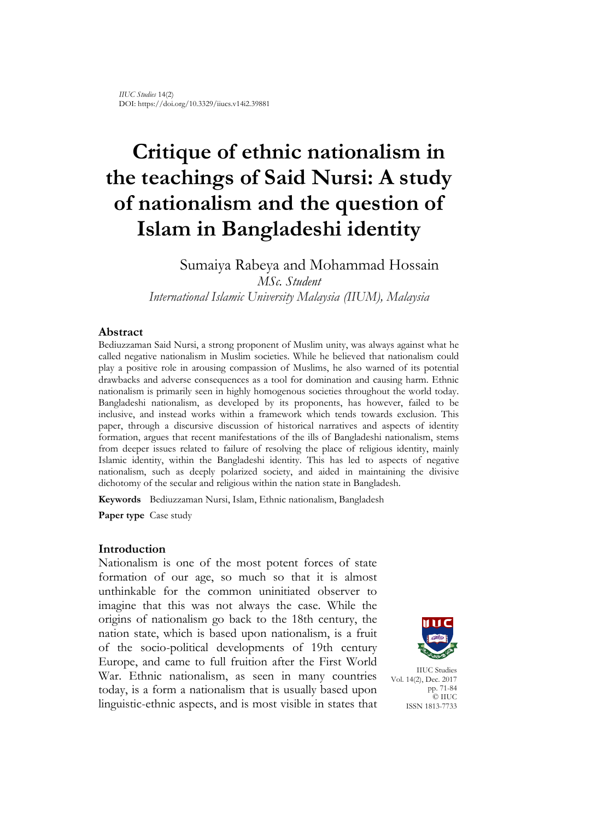# **Critique of ethnic nationalism in the teachings of Said Nursi: A study of nationalism and the question of Islam in Bangladeshi identity**

Sumaiya Rabeya and Mohammad Hossain *MSc. Student*

*International Islamic University Malaysia (IIUM), Malaysia*

#### **Abstract**

Bediuzzaman Said Nursi, a strong proponent of Muslim unity, was always against what he called negative nationalism in Muslim societies. While he believed that nationalism could play a positive role in arousing compassion of Muslims, he also warned of its potential drawbacks and adverse consequences as a tool for domination and causing harm. Ethnic nationalism is primarily seen in highly homogenous societies throughout the world today. Bangladeshi nationalism, as developed by its proponents, has however, failed to be inclusive, and instead works within a framework which tends towards exclusion. This paper, through a discursive discussion of historical narratives and aspects of identity formation, argues that recent manifestations of the ills of Bangladeshi nationalism, stems from deeper issues related to failure of resolving the place of religious identity, mainly Islamic identity, within the Bangladeshi identity. This has led to aspects of negative nationalism, such as deeply polarized society, and aided in maintaining the divisive dichotomy of the secular and religious within the nation state in Bangladesh.

**Keywords** Bediuzzaman Nursi, Islam, Ethnic nationalism, Bangladesh

**Paper type** Case study

#### **Introduction**

Nationalism is one of the most potent forces of state formation of our age, so much so that it is almost unthinkable for the common uninitiated observer to imagine that this was not always the case. While the origins of nationalism go back to the 18th century, the nation state, which is based upon nationalism, is a fruit of the socio-political developments of 19th century Europe, and came to full fruition after the First World War. Ethnic nationalism, as seen in many countries today, is a form a nationalism that is usually based upon linguistic-ethnic aspects, and is most visible in states that



IIUC Studies Vol. 14(2), Dec. 2017 pp. 71-84 © IIUC ISSN 1813-7733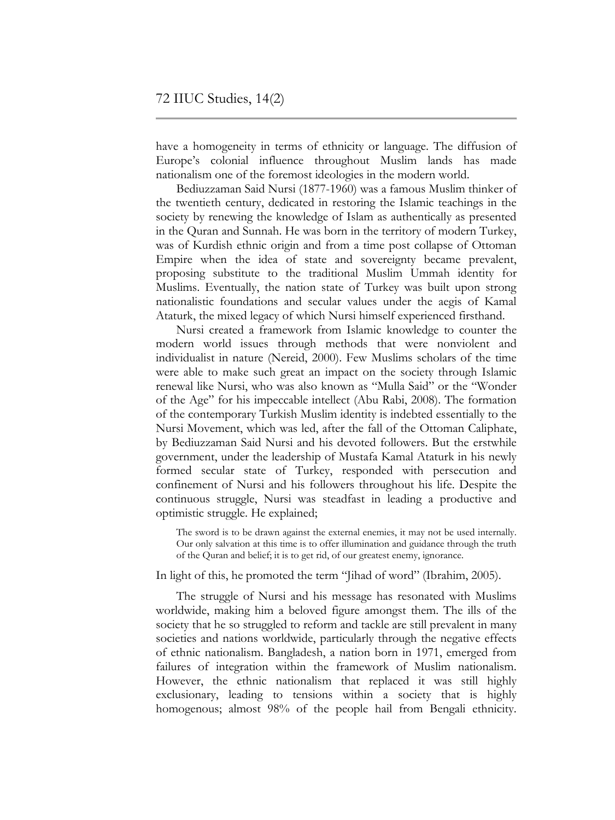have a homogeneity in terms of ethnicity or language. The diffusion of Europe's colonial influence throughout Muslim lands has made nationalism one of the foremost ideologies in the modern world.

Bediuzzaman Said Nursi (1877-1960) was a famous Muslim thinker of the twentieth century, dedicated in restoring the Islamic teachings in the society by renewing the knowledge of Islam as authentically as presented in the Quran and Sunnah. He was born in the territory of modern Turkey, was of Kurdish ethnic origin and from a time post collapse of Ottoman Empire when the idea of state and sovereignty became prevalent, proposing substitute to the traditional Muslim Ummah identity for Muslims. Eventually, the nation state of Turkey was built upon strong nationalistic foundations and secular values under the aegis of Kamal Ataturk, the mixed legacy of which Nursi himself experienced firsthand.

Nursi created a framework from Islamic knowledge to counter the modern world issues through methods that were nonviolent and individualist in nature (Nereid, 2000). Few Muslims scholars of the time were able to make such great an impact on the society through Islamic renewal like Nursi, who was also known as "Mulla Said" or the "Wonder of the Age" for his impeccable intellect (Abu Rabi, 2008). The formation of the contemporary Turkish Muslim identity is indebted essentially to the Nursi Movement, which was led, after the fall of the Ottoman Caliphate, by Bediuzzaman Said Nursi and his devoted followers. But the erstwhile government, under the leadership of Mustafa Kamal Ataturk in his newly formed secular state of Turkey, responded with persecution and confinement of Nursi and his followers throughout his life. Despite the continuous struggle, Nursi was steadfast in leading a productive and optimistic struggle. He explained;

The sword is to be drawn against the external enemies, it may not be used internally. Our only salvation at this time is to offer illumination and guidance through the truth of the Quran and belief; it is to get rid, of our greatest enemy, ignorance.

In light of this, he promoted the term "Jihad of word" (Ibrahim, 2005).

The struggle of Nursi and his message has resonated with Muslims worldwide, making him a beloved figure amongst them. The ills of the society that he so struggled to reform and tackle are still prevalent in many societies and nations worldwide, particularly through the negative effects of ethnic nationalism. Bangladesh, a nation born in 1971, emerged from failures of integration within the framework of Muslim nationalism. However, the ethnic nationalism that replaced it was still highly exclusionary, leading to tensions within a society that is highly homogenous; almost 98% of the people hail from Bengali ethnicity.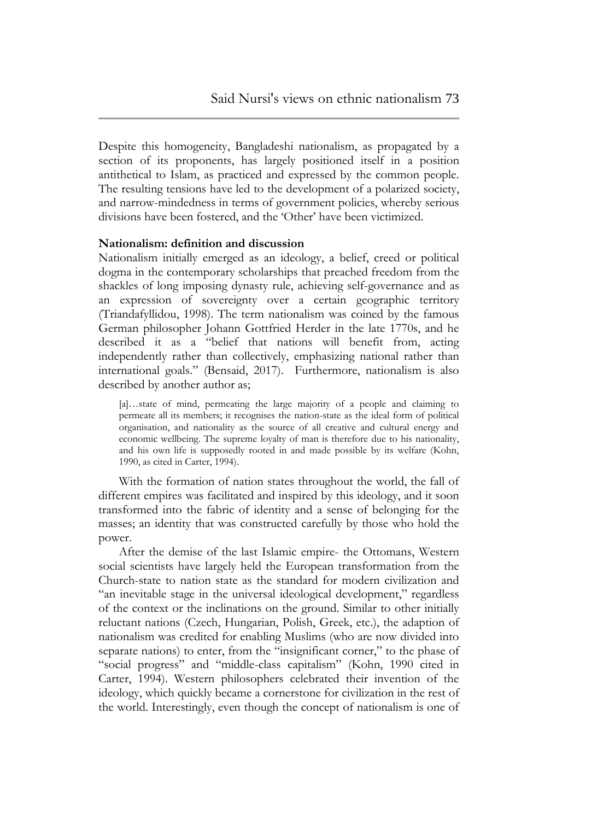Despite this homogeneity, Bangladeshi nationalism, as propagated by a section of its proponents, has largely positioned itself in a position antithetical to Islam, as practiced and expressed by the common people. The resulting tensions have led to the development of a polarized society, and narrow-mindedness in terms of government policies, whereby serious divisions have been fostered, and the "Other" have been victimized.

# **Nationalism: definition and discussion**

Nationalism initially emerged as an ideology, a belief, creed or political dogma in the contemporary scholarships that preached freedom from the shackles of long imposing dynasty rule, achieving self-governance and as an expression of sovereignty over a certain geographic territory (Triandafyllidou, 1998). The term nationalism was coined by the famous German philosopher Johann Gottfried Herder in the late 1770s, and he described it as a "belief that nations will benefit from, acting independently rather than collectively, emphasizing national rather than international goals." (Bensaid, 2017). Furthermore, nationalism is also described by another author as;

[a]…state of mind, permeating the large majority of a people and claiming to permeate all its members; it recognises the nation-state as the ideal form of political organisation, and nationality as the source of all creative and cultural energy and economic wellbeing. The supreme loyalty of man is therefore due to his nationality, and his own life is supposedly rooted in and made possible by its welfare (Kohn, 1990, as cited in Carter, 1994).

With the formation of nation states throughout the world, the fall of different empires was facilitated and inspired by this ideology, and it soon transformed into the fabric of identity and a sense of belonging for the masses; an identity that was constructed carefully by those who hold the power.

After the demise of the last Islamic empire- the Ottomans, Western social scientists have largely held the European transformation from the Church-state to nation state as the standard for modern civilization and "an inevitable stage in the universal ideological development," regardless of the context or the inclinations on the ground. Similar to other initially reluctant nations (Czech, Hungarian, Polish, Greek, etc.), the adaption of nationalism was credited for enabling Muslims (who are now divided into separate nations) to enter, from the "insignificant corner," to the phase of "social progress" and "middle-class capitalism" (Kohn, 1990 cited in Carter, 1994). Western philosophers celebrated their invention of the ideology, which quickly became a cornerstone for civilization in the rest of the world. Interestingly, even though the concept of nationalism is one of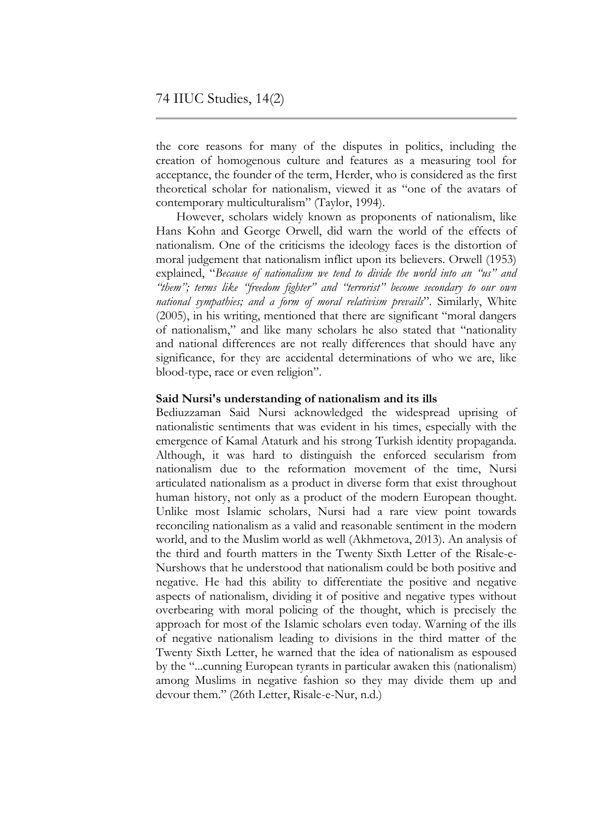the core reasons for many of the disputes in politics, including the creation of homogenous culture and features as a measuring tool for acceptance, the founder of the term, Herder, who is considered as the first theoretical scholar for nationalism, viewed it as "one of the avatars of contemporary multiculturalism" (Taylor, 1994).

However, scholars widely known as proponents of nationalism, like Hans Kohn and George Orwell, did warn the world of the effects of nationalism. One of the criticisms the ideology faces is the distortion of moral judgement that nationalism inflict upon its believers. Orwell (1953) explained, "*Because of nationalism we tend to divide the world into an "us" and "them"; terms like "freedom fighter" and "terrorist" become secondary to our own national sympathies; and a form of moral relativism prevails*". Similarly, White (2005), in his writing, mentioned that there are significant "moral dangers of nationalism," and like many scholars he also stated that "nationality and national differences are not really differences that should have any significance, for they are accidental determinations of who we are, like blood-type, race or even religion".

# **Said Nursi's understanding of nationalism and its ills**

Bediuzzaman Said Nursi acknowledged the widespread uprising of nationalistic sentiments that was evident in his times, especially with the emergence of Kamal Ataturk and his strong Turkish identity propaganda. Although, it was hard to distinguish the enforced secularism from nationalism due to the reformation movement of the time, Nursi articulated nationalism as a product in diverse form that exist throughout human history, not only as a product of the modern European thought. Unlike most Islamic scholars, Nursi had a rare view point towards reconciling nationalism as a valid and reasonable sentiment in the modern world, and to the Muslim world as well (Akhmetova, 2013). An analysis of the third and fourth matters in the Twenty Sixth Letter of the Risale-e-Nurshows that he understood that nationalism could be both positive and negative. He had this ability to differentiate the positive and negative aspects of nationalism, dividing it of positive and negative types without overbearing with moral policing of the thought, which is precisely the approach for most of the Islamic scholars even today. Warning of the ills of negative nationalism leading to divisions in the third matter of the Twenty Sixth Letter, he warned that the idea of nationalism as espoused by the "...cunning European tyrants in particular awaken this (nationalism) among Muslims in negative fashion so they may divide them up and devour them." (26th Letter, Risale-e-Nur, n.d.)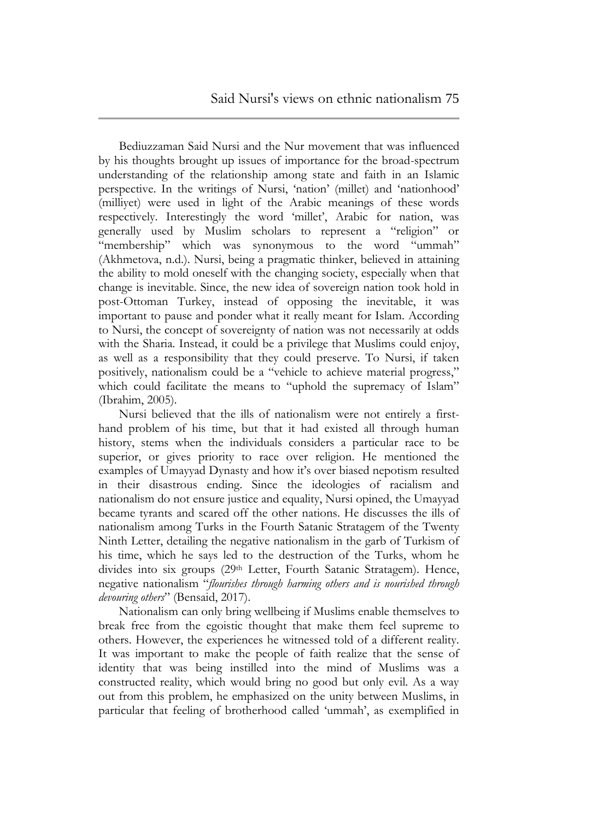Bediuzzaman Said Nursi and the Nur movement that was influenced by his thoughts brought up issues of importance for the broad-spectrum understanding of the relationship among state and faith in an Islamic perspective. In the writings of Nursi, "nation" (millet) and "nationhood" (milliyet) were used in light of the Arabic meanings of these words respectively. Interestingly the word "millet", Arabic for nation, was generally used by Muslim scholars to represent a "religion" or "membership" which was synonymous to the word "ummah" (Akhmetova, n.d.). Nursi, being a pragmatic thinker, believed in attaining the ability to mold oneself with the changing society, especially when that change is inevitable. Since, the new idea of sovereign nation took hold in post-Ottoman Turkey, instead of opposing the inevitable, it was important to pause and ponder what it really meant for Islam. According to Nursi, the concept of sovereignty of nation was not necessarily at odds with the Sharia. Instead, it could be a privilege that Muslims could enjoy, as well as a responsibility that they could preserve. To Nursi, if taken positively, nationalism could be a "vehicle to achieve material progress," which could facilitate the means to "uphold the supremacy of Islam" (Ibrahim, 2005).

Nursi believed that the ills of nationalism were not entirely a firsthand problem of his time, but that it had existed all through human history, stems when the individuals considers a particular race to be superior, or gives priority to race over religion. He mentioned the examples of Umayyad Dynasty and how it's over biased nepotism resulted in their disastrous ending. Since the ideologies of racialism and nationalism do not ensure justice and equality, Nursi opined, the Umayyad became tyrants and scared off the other nations. He discusses the ills of nationalism among Turks in the Fourth Satanic Stratagem of the Twenty Ninth Letter, detailing the negative nationalism in the garb of Turkism of his time, which he says led to the destruction of the Turks, whom he divides into six groups (29<sup>th</sup> Letter, Fourth Satanic Stratagem). Hence, negative nationalism "*flourishes through harming others and is nourished through devouring others*" (Bensaid, 2017).

Nationalism can only bring wellbeing if Muslims enable themselves to break free from the egoistic thought that make them feel supreme to others. However, the experiences he witnessed told of a different reality. It was important to make the people of faith realize that the sense of identity that was being instilled into the mind of Muslims was a constructed reality, which would bring no good but only evil. As a way out from this problem, he emphasized on the unity between Muslims, in particular that feeling of brotherhood called "ummah", as exemplified in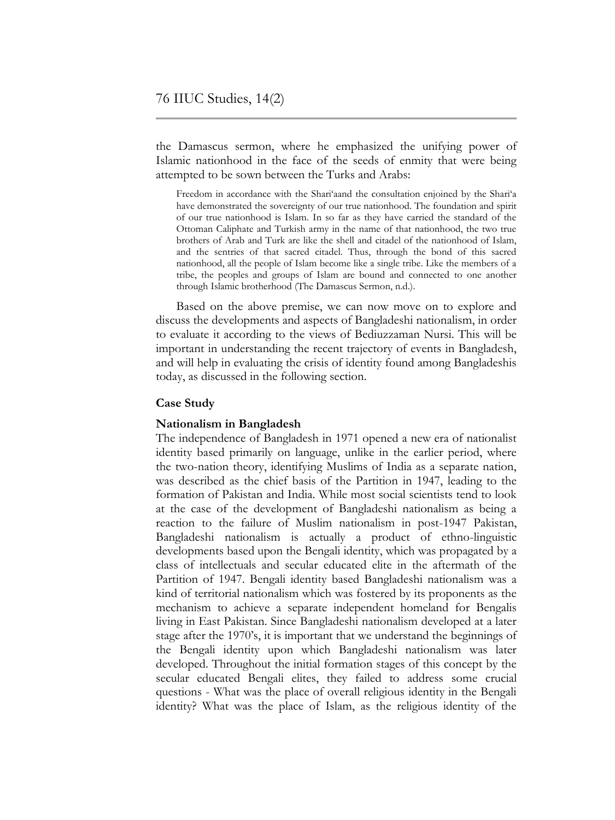the Damascus sermon, where he emphasized the unifying power of Islamic nationhood in the face of the seeds of enmity that were being attempted to be sown between the Turks and Arabs:

Freedom in accordance with the Shari'aand the consultation enjoined by the Shari'a have demonstrated the sovereignty of our true nationhood. The foundation and spirit of our true nationhood is Islam. In so far as they have carried the standard of the Ottoman Caliphate and Turkish army in the name of that nationhood, the two true brothers of Arab and Turk are like the shell and citadel of the nationhood of Islam, and the sentries of that sacred citadel. Thus, through the bond of this sacred nationhood, all the people of Islam become like a single tribe. Like the members of a tribe, the peoples and groups of Islam are bound and connected to one another through Islamic brotherhood (The Damascus Sermon, n.d.).

Based on the above premise, we can now move on to explore and discuss the developments and aspects of Bangladeshi nationalism, in order to evaluate it according to the views of Bediuzzaman Nursi. This will be important in understanding the recent trajectory of events in Bangladesh, and will help in evaluating the crisis of identity found among Bangladeshis today, as discussed in the following section.

# **Case Study**

#### **Nationalism in Bangladesh**

The independence of Bangladesh in 1971 opened a new era of nationalist identity based primarily on language, unlike in the earlier period, where the two-nation theory, identifying Muslims of India as a separate nation, was described as the chief basis of the Partition in 1947, leading to the formation of Pakistan and India. While most social scientists tend to look at the case of the development of Bangladeshi nationalism as being a reaction to the failure of Muslim nationalism in post-1947 Pakistan, Bangladeshi nationalism is actually a product of ethno-linguistic developments based upon the Bengali identity, which was propagated by a class of intellectuals and secular educated elite in the aftermath of the Partition of 1947. Bengali identity based Bangladeshi nationalism was a kind of territorial nationalism which was fostered by its proponents as the mechanism to achieve a separate independent homeland for Bengalis living in East Pakistan. Since Bangladeshi nationalism developed at a later stage after the 1970"s, it is important that we understand the beginnings of the Bengali identity upon which Bangladeshi nationalism was later developed. Throughout the initial formation stages of this concept by the secular educated Bengali elites, they failed to address some crucial questions - What was the place of overall religious identity in the Bengali identity? What was the place of Islam, as the religious identity of the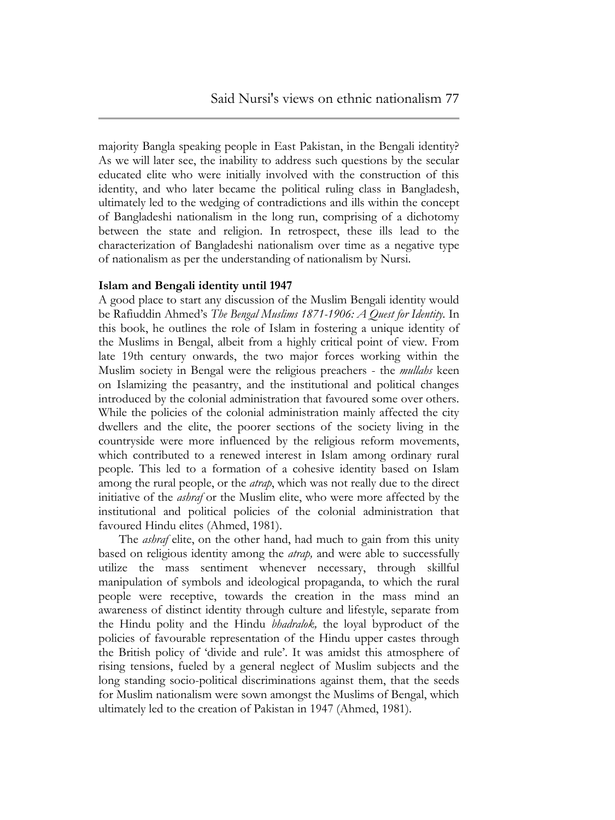majority Bangla speaking people in East Pakistan, in the Bengali identity? As we will later see, the inability to address such questions by the secular educated elite who were initially involved with the construction of this identity, and who later became the political ruling class in Bangladesh, ultimately led to the wedging of contradictions and ills within the concept of Bangladeshi nationalism in the long run, comprising of a dichotomy between the state and religion. In retrospect, these ills lead to the characterization of Bangladeshi nationalism over time as a negative type of nationalism as per the understanding of nationalism by Nursi.

# **Islam and Bengali identity until 1947**

A good place to start any discussion of the Muslim Bengali identity would be Rafiuddin Ahmed"s *The Bengal Muslims 1871-1906: A Quest for Identity.* In this book, he outlines the role of Islam in fostering a unique identity of the Muslims in Bengal, albeit from a highly critical point of view. From late 19th century onwards, the two major forces working within the Muslim society in Bengal were the religious preachers - the *mullahs* keen on Islamizing the peasantry, and the institutional and political changes introduced by the colonial administration that favoured some over others. While the policies of the colonial administration mainly affected the city dwellers and the elite, the poorer sections of the society living in the countryside were more influenced by the religious reform movements, which contributed to a renewed interest in Islam among ordinary rural people. This led to a formation of a cohesive identity based on Islam among the rural people, or the *atrap*, which was not really due to the direct initiative of the *ashraf* or the Muslim elite, who were more affected by the institutional and political policies of the colonial administration that favoured Hindu elites (Ahmed, 1981).

The *ashraf* elite, on the other hand, had much to gain from this unity based on religious identity among the *atrap,* and were able to successfully utilize the mass sentiment whenever necessary, through skillful manipulation of symbols and ideological propaganda, to which the rural people were receptive, towards the creation in the mass mind an awareness of distinct identity through culture and lifestyle, separate from the Hindu polity and the Hindu *bhadralok,* the loyal byproduct of the policies of favourable representation of the Hindu upper castes through the British policy of "divide and rule". It was amidst this atmosphere of rising tensions, fueled by a general neglect of Muslim subjects and the long standing socio-political discriminations against them, that the seeds for Muslim nationalism were sown amongst the Muslims of Bengal, which ultimately led to the creation of Pakistan in 1947 (Ahmed, 1981).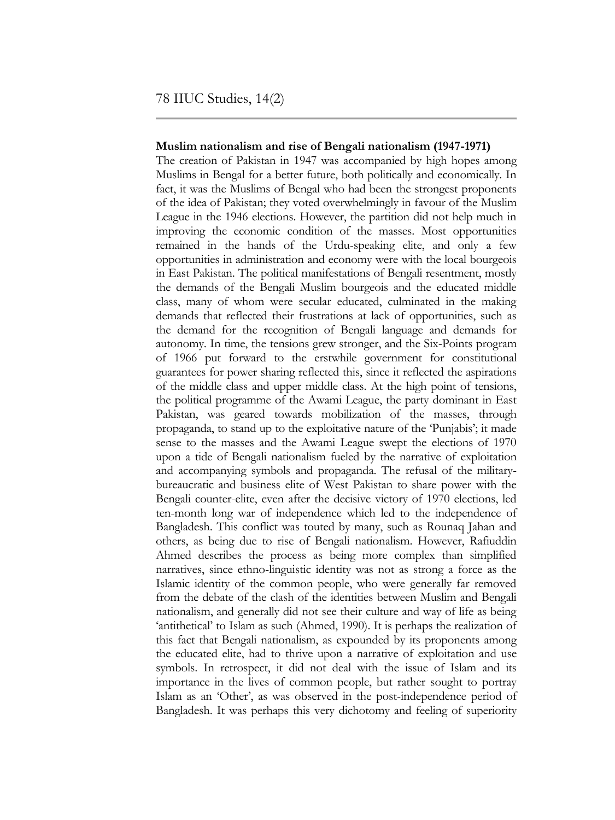#### **Muslim nationalism and rise of Bengali nationalism (1947-1971)**

The creation of Pakistan in 1947 was accompanied by high hopes among Muslims in Bengal for a better future, both politically and economically. In fact, it was the Muslims of Bengal who had been the strongest proponents of the idea of Pakistan; they voted overwhelmingly in favour of the Muslim League in the 1946 elections. However, the partition did not help much in improving the economic condition of the masses. Most opportunities remained in the hands of the Urdu-speaking elite, and only a few opportunities in administration and economy were with the local bourgeois in East Pakistan. The political manifestations of Bengali resentment, mostly the demands of the Bengali Muslim bourgeois and the educated middle class, many of whom were secular educated, culminated in the making demands that reflected their frustrations at lack of opportunities, such as the demand for the recognition of Bengali language and demands for autonomy. In time, the tensions grew stronger, and the Six-Points program of 1966 put forward to the erstwhile government for constitutional guarantees for power sharing reflected this, since it reflected the aspirations of the middle class and upper middle class. At the high point of tensions, the political programme of the Awami League, the party dominant in East Pakistan, was geared towards mobilization of the masses, through propaganda, to stand up to the exploitative nature of the "Punjabis"; it made sense to the masses and the Awami League swept the elections of 1970 upon a tide of Bengali nationalism fueled by the narrative of exploitation and accompanying symbols and propaganda. The refusal of the militarybureaucratic and business elite of West Pakistan to share power with the Bengali counter-elite, even after the decisive victory of 1970 elections, led ten-month long war of independence which led to the independence of Bangladesh. This conflict was touted by many, such as Rounaq Jahan and others, as being due to rise of Bengali nationalism. However, Rafiuddin Ahmed describes the process as being more complex than simplified narratives, since ethno-linguistic identity was not as strong a force as the Islamic identity of the common people, who were generally far removed from the debate of the clash of the identities between Muslim and Bengali nationalism, and generally did not see their culture and way of life as being 'antithetical' to Islam as such (Ahmed, 1990). It is perhaps the realization of this fact that Bengali nationalism, as expounded by its proponents among the educated elite, had to thrive upon a narrative of exploitation and use symbols. In retrospect, it did not deal with the issue of Islam and its importance in the lives of common people, but rather sought to portray Islam as an 'Other', as was observed in the post-independence period of Bangladesh. It was perhaps this very dichotomy and feeling of superiority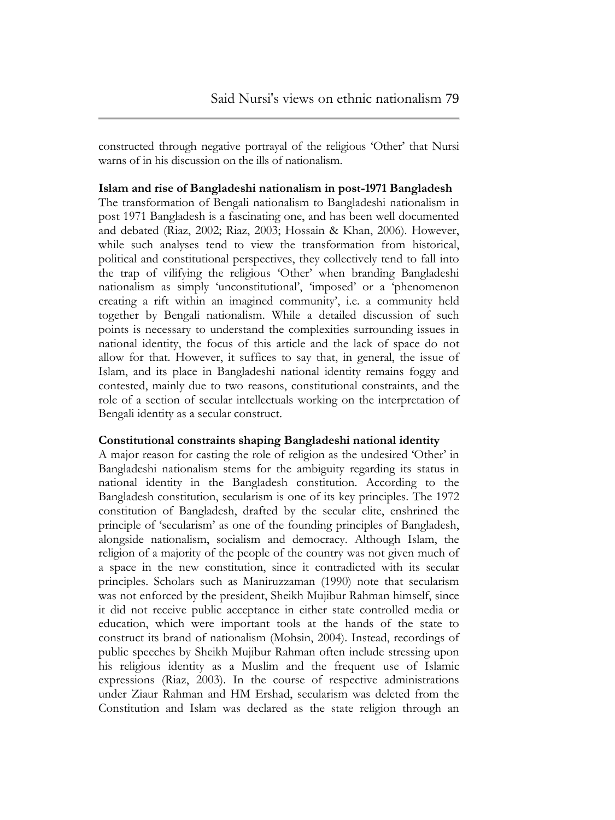constructed through negative portrayal of the religious 'Other' that Nursi warns of in his discussion on the ills of nationalism.

**Islam and rise of Bangladeshi nationalism in post-1971 Bangladesh** The transformation of Bengali nationalism to Bangladeshi nationalism in post 1971 Bangladesh is a fascinating one, and has been well documented and debated (Riaz, 2002; Riaz, 2003; Hossain & Khan, 2006). However, while such analyses tend to view the transformation from historical, political and constitutional perspectives, they collectively tend to fall into the trap of vilifying the religious "Other" when branding Bangladeshi nationalism as simply "unconstitutional", "imposed" or a "phenomenon creating a rift within an imagined community', i.e. a community held together by Bengali nationalism. While a detailed discussion of such points is necessary to understand the complexities surrounding issues in national identity, the focus of this article and the lack of space do not allow for that. However, it suffices to say that, in general, the issue of Islam, and its place in Bangladeshi national identity remains foggy and contested, mainly due to two reasons, constitutional constraints, and the role of a section of secular intellectuals working on the interpretation of Bengali identity as a secular construct.

# **Constitutional constraints shaping Bangladeshi national identity**

A major reason for casting the role of religion as the undesired "Other" in Bangladeshi nationalism stems for the ambiguity regarding its status in national identity in the Bangladesh constitution. According to the Bangladesh constitution, secularism is one of its key principles. The 1972 constitution of Bangladesh, drafted by the secular elite, enshrined the principle of "secularism" as one of the founding principles of Bangladesh, alongside nationalism, socialism and democracy. Although Islam, the religion of a majority of the people of the country was not given much of a space in the new constitution, since it contradicted with its secular principles. Scholars such as Maniruzzaman (1990) note that secularism was not enforced by the president, Sheikh Mujibur Rahman himself, since it did not receive public acceptance in either state controlled media or education, which were important tools at the hands of the state to construct its brand of nationalism (Mohsin, 2004). Instead, recordings of public speeches by Sheikh Mujibur Rahman often include stressing upon his religious identity as a Muslim and the frequent use of Islamic expressions (Riaz, 2003). In the course of respective administrations under Ziaur Rahman and HM Ershad, secularism was deleted from the Constitution and Islam was declared as the state religion through an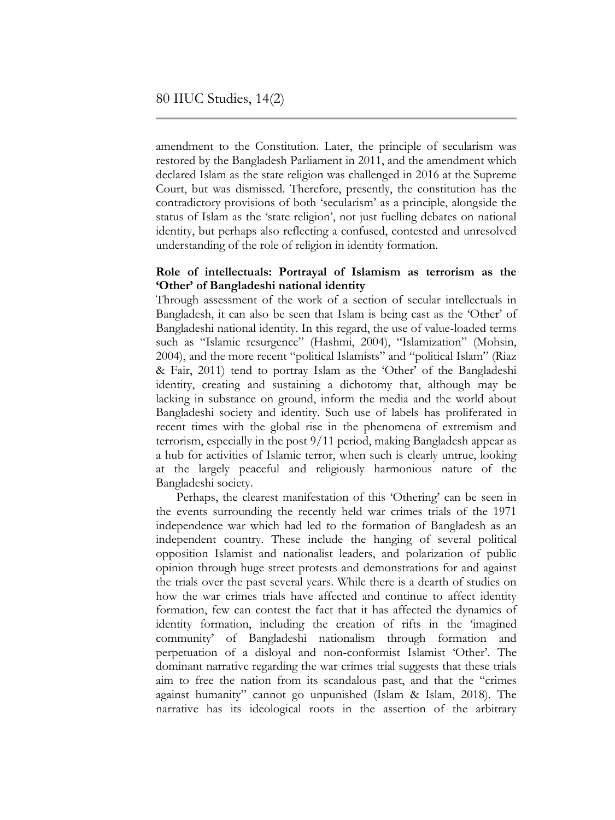amendment to the Constitution. Later, the principle of secularism was restored by the Bangladesh Parliament in 2011, and the amendment which declared Islam as the state religion was challenged in 2016 at the Supreme Court, but was dismissed. Therefore, presently, the constitution has the contradictory provisions of both "secularism" as a principle, alongside the status of Islam as the 'state religion', not just fuelling debates on national identity, but perhaps also reflecting a confused, contested and unresolved understanding of the role of religion in identity formation.

# **Role of intellectuals: Portrayal of Islamism as terrorism as the 'Other' of Bangladeshi national identity**

Through assessment of the work of a section of secular intellectuals in Bangladesh, it can also be seen that Islam is being cast as the "Other" of Bangladeshi national identity. In this regard, the use of value-loaded terms such as "Islamic resurgence" (Hashmi, 2004), "Islamization" (Mohsin, 2004), and the more recent "political Islamists" and "political Islam" (Riaz & Fair, 2011) tend to portray Islam as the "Other" of the Bangladeshi identity, creating and sustaining a dichotomy that, although may be lacking in substance on ground, inform the media and the world about Bangladeshi society and identity. Such use of labels has proliferated in recent times with the global rise in the phenomena of extremism and terrorism, especially in the post 9/11 period, making Bangladesh appear as a hub for activities of Islamic terror, when such is clearly untrue, looking at the largely peaceful and religiously harmonious nature of the Bangladeshi society.

Perhaps, the clearest manifestation of this 'Othering' can be seen in the events surrounding the recently held war crimes trials of the 1971 independence war which had led to the formation of Bangladesh as an independent country. These include the hanging of several political opposition Islamist and nationalist leaders, and polarization of public opinion through huge street protests and demonstrations for and against the trials over the past several years. While there is a dearth of studies on how the war crimes trials have affected and continue to affect identity formation, few can contest the fact that it has affected the dynamics of identity formation, including the creation of rifts in the "imagined community" of Bangladeshi nationalism through formation and perpetuation of a disloyal and non-conformist Islamist 'Other'. The dominant narrative regarding the war crimes trial suggests that these trials aim to free the nation from its scandalous past, and that the "crimes against humanity" cannot go unpunished (Islam & Islam, 2018). The narrative has its ideological roots in the assertion of the arbitrary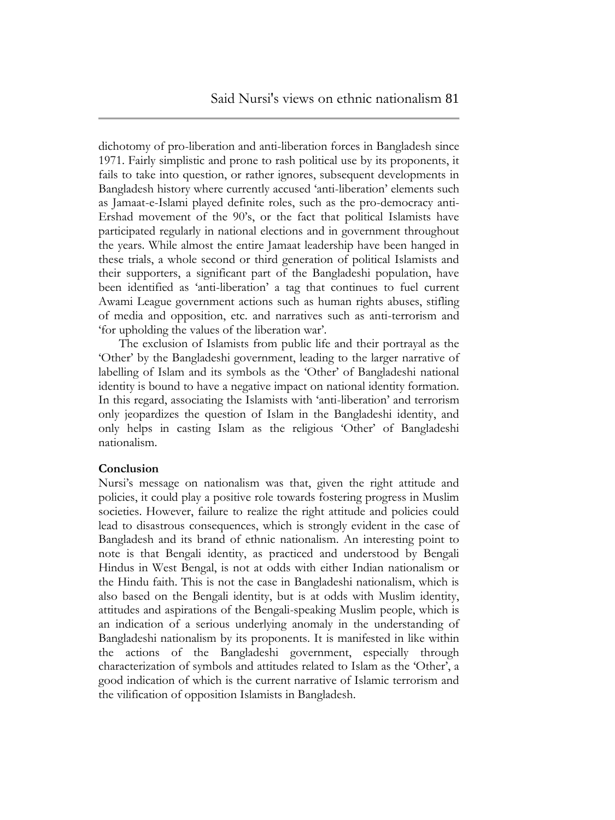dichotomy of pro-liberation and anti-liberation forces in Bangladesh since 1971. Fairly simplistic and prone to rash political use by its proponents, it fails to take into question, or rather ignores, subsequent developments in Bangladesh history where currently accused "anti-liberation" elements such as Jamaat-e-Islami played definite roles, such as the pro-democracy anti-Ershad movement of the 90"s, or the fact that political Islamists have participated regularly in national elections and in government throughout the years. While almost the entire Jamaat leadership have been hanged in these trials, a whole second or third generation of political Islamists and their supporters, a significant part of the Bangladeshi population, have been identified as "anti-liberation" a tag that continues to fuel current Awami League government actions such as human rights abuses, stifling of media and opposition, etc. and narratives such as anti-terrorism and "for upholding the values of the liberation war".

The exclusion of Islamists from public life and their portrayal as the "Other" by the Bangladeshi government, leading to the larger narrative of labelling of Islam and its symbols as the 'Other' of Bangladeshi national identity is bound to have a negative impact on national identity formation. In this regard, associating the Islamists with "anti-liberation" and terrorism only jeopardizes the question of Islam in the Bangladeshi identity, and only helps in casting Islam as the religious "Other" of Bangladeshi nationalism.

#### **Conclusion**

Nursi"s message on nationalism was that, given the right attitude and policies, it could play a positive role towards fostering progress in Muslim societies. However, failure to realize the right attitude and policies could lead to disastrous consequences, which is strongly evident in the case of Bangladesh and its brand of ethnic nationalism. An interesting point to note is that Bengali identity, as practiced and understood by Bengali Hindus in West Bengal, is not at odds with either Indian nationalism or the Hindu faith. This is not the case in Bangladeshi nationalism, which is also based on the Bengali identity, but is at odds with Muslim identity, attitudes and aspirations of the Bengali-speaking Muslim people, which is an indication of a serious underlying anomaly in the understanding of Bangladeshi nationalism by its proponents. It is manifested in like within the actions of the Bangladeshi government, especially through characterization of symbols and attitudes related to Islam as the "Other", a good indication of which is the current narrative of Islamic terrorism and the vilification of opposition Islamists in Bangladesh.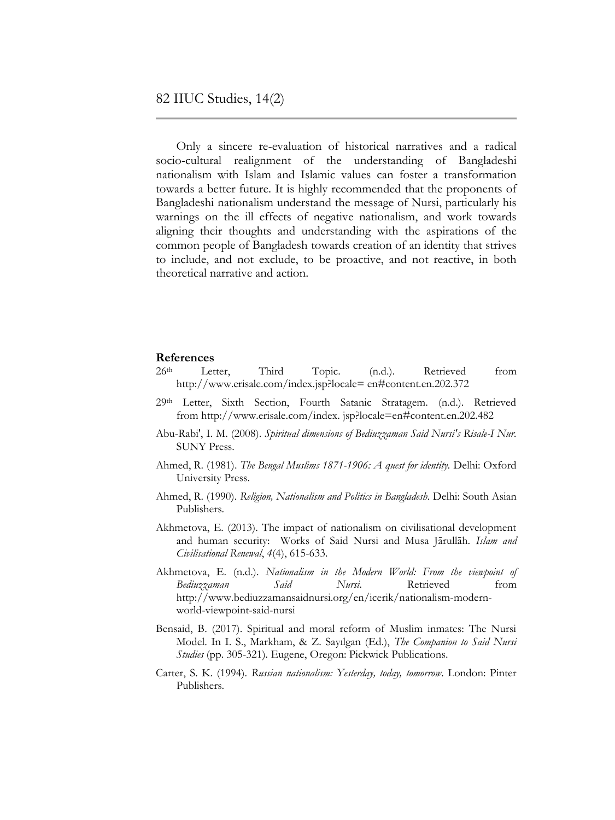Only a sincere re-evaluation of historical narratives and a radical socio-cultural realignment of the understanding of Bangladeshi nationalism with Islam and Islamic values can foster a transformation towards a better future. It is highly recommended that the proponents of Bangladeshi nationalism understand the message of Nursi, particularly his warnings on the ill effects of negative nationalism, and work towards aligning their thoughts and understanding with the aspirations of the common people of Bangladesh towards creation of an identity that strives to include, and not exclude, to be proactive, and not reactive, in both theoretical narrative and action.

#### **References**

- 26<sup>th</sup> Letter, Third Topic. (n.d.). Retrieved from [http://www.erisale.com/index.jsp?locale= en#content.en.202.372](http://www.erisale.com/index.jsp?locale=%20en#content.en.202.372)
- 29th Letter, Sixth Section, Fourth Satanic Stratagem. (n.d.). Retrieved from [http://www.erisale.com/index. jsp?locale=en#content.en.202.482](http://www.erisale.com/index.%20jsp?locale=en#content.en.202.482)
- [Abu-Rabi',](http://www.sunypress.edu/Searchadv.aspx?IsSubmit=true&SearchOptionID=2&txtAuthorSearch=Ibrahim%20M.%20Abu-Rabi%27) I. M. (2008). *Spiritual dimensions of Bediuzzaman Said Nursi's Risale-I Nur.*  SUNY Press.
- Ahmed, R. (1981). *The Bengal Muslims 1871-1906: A quest for identity.* Delhi: Oxford University Press.
- Ahmed, R. (1990). *Religion, Nationalism and Politics in Bangladesh*. Delhi: South Asian Publishers.
- Akhmetova, E. (2013). The impact of nationalism on civilisational development and human security: Works of Said Nursi and Musa Jārullāh. *Islam and Civilisational Renewal*, *4*(4), 615-633.
- Akhmetova, E. (n.d.). *Nationalism in the Modern World: From the viewpoint of Bediuzzaman Said Nursi.* Retrieved from [http://www.bediuzzamansaidnursi.org/en/icerik/nationalism-modern](http://www.bediuzzamansaidnursi.org/en/icerik/nationalism-modern-world-viewpoint-said-nursi)[world-viewpoint-said-nursi](http://www.bediuzzamansaidnursi.org/en/icerik/nationalism-modern-world-viewpoint-said-nursi)
- Bensaid, B. (2017). Spiritual and moral reform of Muslim inmates: The Nursi Model. In I. S., Markham, & Z. Sayılgan (Ed.), *The Companion to Said Nursi Studies* (pp. 305-321)*.* Eugene, Oregon: Pickwick Publications.
- Carter, S. K. (1994). *Russian nationalism: Yesterday, today, tomorrow*. London: Pinter Publishers.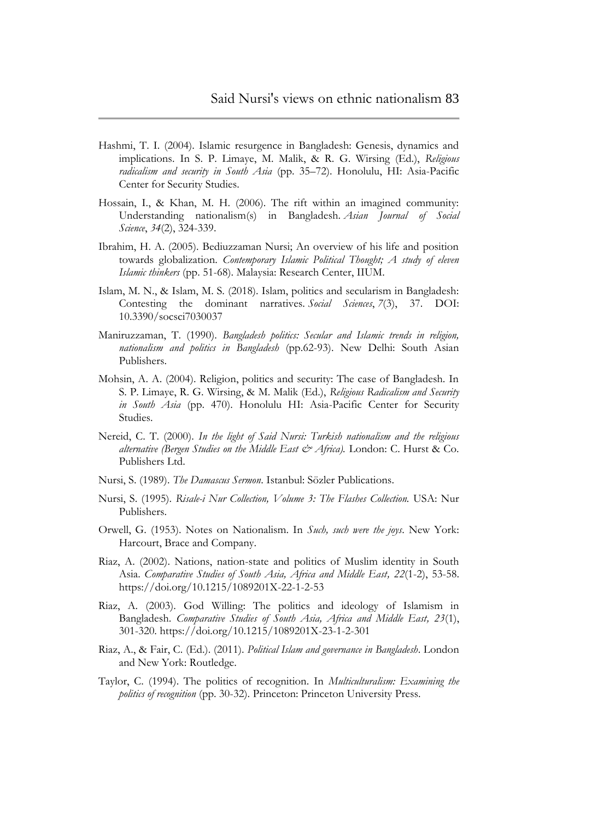- Hashmi, T. I. (2004). Islamic resurgence in Bangladesh: Genesis, dynamics and implications. In S. P. Limaye, M. Malik, & R. G. Wirsing (Ed.), *Religious radicalism and security in South Asia* (pp. 35–72). Honolulu, HI: Asia-Pacific Center for Security Studies.
- Hossain, I., & Khan, M. H. (2006). The rift within an imagined community: Understanding nationalism(s) in Bangladesh. *Asian Journal of Social Science*, *34*(2), 324-339.
- Ibrahim, H. A. (2005). Bediuzzaman Nursi; An overview of his life and position towards globalization. *Contemporary Islamic Political Thought; A study of eleven Islamic thinkers* (pp. 51-68). Malaysia: Research Center, IIUM.
- Islam, M. N., & Islam, M. S. (2018). Islam, politics and secularism in Bangladesh: Contesting the dominant narratives. *Social Sciences*, *7*(3), 37. DOI: 10.3390/socsci7030037
- Maniruzzaman, T. (1990). *Bangladesh politics: Secular and Islamic trends in religion, nationalism and politics in Bangladesh* (pp.62-93). New Delhi: South Asian Publishers.
- Mohsin, A. A. (2004). Religion, politics and security: The case of Bangladesh. In S. P. Limaye, R. G. Wirsing, & M. Malik (Ed.), *Religious Radicalism and Security in South Asia* (pp. 470). Honolulu HI: Asia-Pacific Center for Security Studies.
- Nereid, C. T. (2000). *In the light of Said Nursi: Turkish nationalism and the religious alternative (Bergen Studies on the Middle East & Africa).* London: C. Hurst & Co. Publishers Ltd.
- Nursi, S. (1989). *The Damascus Sermon*. Istanbul: Sözler Publications.
- Nursi, S. (1995). *Risale-i Nur Collection, Volume 3: The Flashes Collection.* USA: Nur Publishers.
- Orwell, G. (1953). Notes on Nationalism. In *Such, such were the joys*. New York: Harcourt, Brace and Company.
- Riaz, A. (2002). Nations, nation-state and politics of Muslim identity in South Asia. *Comparative Studies of South Asia, Africa and Middle East, 22*(1-2), 53-58. https://doi.org/10.1215/1089201X-22-1-2-53
- Riaz, A. (2003). God Willing: The politics and ideology of Islamism in Bangladesh. *Comparative Studies of South Asia, Africa and Middle East, 23*(1), 301-320. https://doi.org/10.1215/1089201X-23-1-2-301
- Riaz, A., & Fair, C. (Ed.). (2011). *Political Islam and governance in Bangladesh*. London and New York: Routledge.
- Taylor, C. (1994). The politics of recognition. In *Multiculturalism: Examining the politics of recognition* (pp. 30-32). Princeton: Princeton University Press.